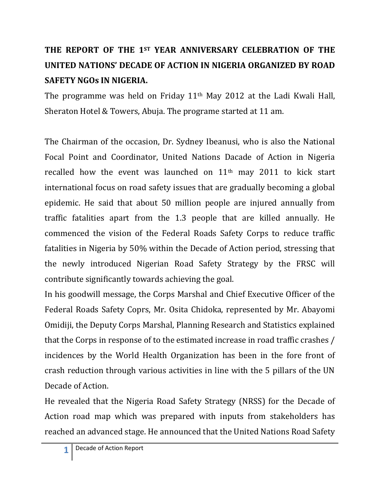## **THE REPORT OF THE 1ST YEAR ANNIVERSARY CELEBRATION OF THE UNITED NATIONS' DECADE OF ACTION IN NIGERIA ORGANIZED BY ROAD SAFETY NGOs IN NIGERIA.**

The programme was held on Friday 11th May 2012 at the Ladi Kwali Hall, Sheraton Hotel & Towers, Abuja. The programe started at 11 am.

The Chairman of the occasion, Dr. Sydney Ibeanusi, who is also the National Focal Point and Coordinator, United Nations Dacade of Action in Nigeria recalled how the event was launched on 11th may 2011 to kick start international focus on road safety issues that are gradually becoming a global epidemic. He said that about 50 million people are injured annually from traffic fatalities apart from the 1.3 people that are killed annually. He commenced the vision of the Federal Roads Safety Corps to reduce traffic fatalities in Nigeria by 50% within the Decade of Action period, stressing that the newly introduced Nigerian Road Safety Strategy by the FRSC will contribute significantly towards achieving the goal.

In his goodwill message, the Corps Marshal and Chief Executive Officer of the Federal Roads Safety Coprs, Mr. Osita Chidoka, represented by Mr. Abayomi Omidiji, the Deputy Corps Marshal, Planning Research and Statistics explained that the Corps in response of to the estimated increase in road traffic crashes / incidences by the World Health Organization has been in the fore front of crash reduction through various activities in line with the 5 pillars of the UN Decade of Action.

He revealed that the Nigeria Road Safety Strategy (NRSS) for the Decade of Action road map which was prepared with inputs from stakeholders has reached an advanced stage. He announced that the United Nations Road Safety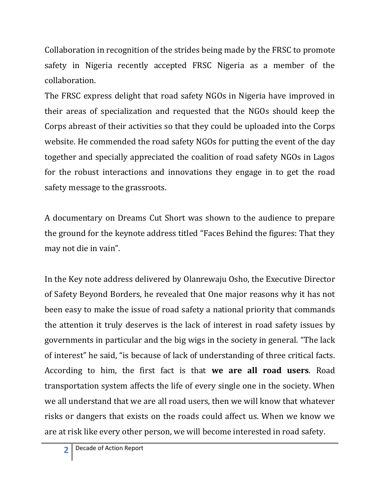Collaboration in recognition of the strides being made by the FRSC to promote safety in Nigeria recently accepted FRSC Nigeria as a member of the collaboration.

The FRSC express delight that road safety NGOs in Nigeria have improved in their areas of specialization and requested that the NGOs should keep the Corps abreast of their activities so that they could be uploaded into the Corps website. He commended the road safety NGOs for putting the event of the day together and specially appreciated the coalition of road safety NGOs in Lagos for the robust interactions and innovations they engage in to get the road safety message to the grassroots.

A documentary on Dreams Cut Short was shown to the audience to prepare the ground for the keynote address titled "Faces Behind the figures: That they may not die in vain".

In the Key note address delivered by Olanrewaju Osho, the Executive Director of Safety Beyond Borders, he revealed that One major reasons why it has not been easy to make the issue of road safety a national priority that commands the attention it truly deserves is the lack of interest in road safety issues by governments in particular and the big wigs in the society in general. "The lack of interest" he said, "is because of lack of understanding of three critical facts. According to him, the first fact is that **we are all road users**. Road transportation system affects the life of every single one in the society. When we all understand that we are all road users, then we will know that whatever risks or dangers that exists on the roads could affect us. When we know we are at risk like every other person, we will become interested in road safety.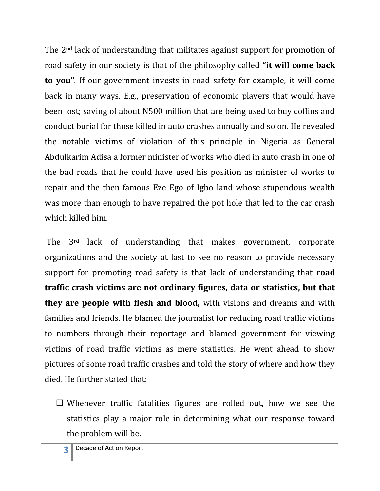The 2nd lack of understanding that militates against support for promotion of road safety in our society is that of the philosophy called **"it will come back to you"**. If our government invests in road safety for example, it will come back in many ways. E.g., preservation of economic players that would have been lost; saving of about N500 million that are being used to buy coffins and conduct burial for those killed in auto crashes annually and so on. He revealed the notable victims of violation of this principle in Nigeria as General Abdulkarim Adisa a former minister of works who died in auto crash in one of the bad roads that he could have used his position as minister of works to repair and the then famous Eze Ego of Igbo land whose stupendous wealth was more than enough to have repaired the pot hole that led to the car crash which killed him.

The 3rd lack of understanding that makes government, corporate organizations and the society at last to see no reason to provide necessary support for promoting road safety is that lack of understanding that **road traffic crash victims are not ordinary figures, data or statistics, but that they are people with flesh and blood,** with visions and dreams and with families and friends. He blamed the journalist for reducing road traffic victims to numbers through their reportage and blamed government for viewing victims of road traffic victims as mere statistics. He went ahead to show pictures of some road traffic crashes and told the story of where and how they died. He further stated that:

 $\Box$  Whenever traffic fatalities figures are rolled out, how we see the statistics play a major role in determining what our response toward the problem will be.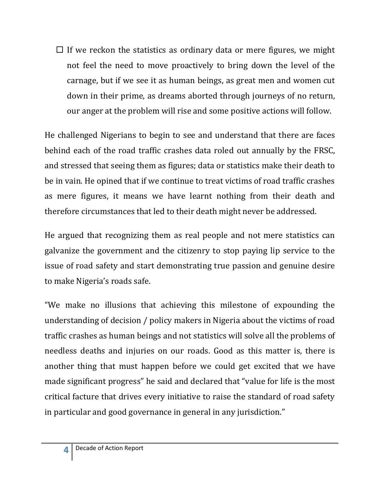$\Box$  If we reckon the statistics as ordinary data or mere figures, we might not feel the need to move proactively to bring down the level of the carnage, but if we see it as human beings, as great men and women cut down in their prime, as dreams aborted through journeys of no return, our anger at the problem will rise and some positive actions will follow.

He challenged Nigerians to begin to see and understand that there are faces behind each of the road traffic crashes data roled out annually by the FRSC, and stressed that seeing them as figures; data or statistics make their death to be in vain. He opined that if we continue to treat victims of road traffic crashes as mere figures, it means we have learnt nothing from their death and therefore circumstances that led to their death might never be addressed.

He argued that recognizing them as real people and not mere statistics can galvanize the government and the citizenry to stop paying lip service to the issue of road safety and start demonstrating true passion and genuine desire to make Nigeria's roads safe.

"We make no illusions that achieving this milestone of expounding the understanding of decision / policy makers in Nigeria about the victims of road traffic crashes as human beings and not statistics will solve all the problems of needless deaths and injuries on our roads. Good as this matter is, there is another thing that must happen before we could get excited that we have made significant progress" he said and declared that "value for life is the most critical facture that drives every initiative to raise the standard of road safety in particular and good governance in general in any jurisdiction."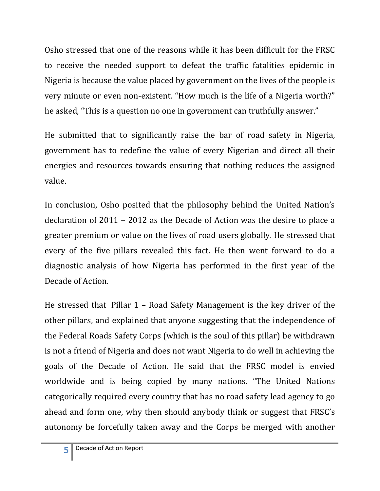Osho stressed that one of the reasons while it has been difficult for the FRSC to receive the needed support to defeat the traffic fatalities epidemic in Nigeria is because the value placed by government on the lives of the people is very minute or even non-existent. "How much is the life of a Nigeria worth?" he asked, "This is a question no one in government can truthfully answer."

He submitted that to significantly raise the bar of road safety in Nigeria, government has to redefine the value of every Nigerian and direct all their energies and resources towards ensuring that nothing reduces the assigned value.

In conclusion, Osho posited that the philosophy behind the United Nation's declaration of 2011 – 2012 as the Decade of Action was the desire to place a greater premium or value on the lives of road users globally. He stressed that every of the five pillars revealed this fact. He then went forward to do a diagnostic analysis of how Nigeria has performed in the first year of the Decade of Action.

He stressed that Pillar 1 – Road Safety Management is the key driver of the other pillars, and explained that anyone suggesting that the independence of the Federal Roads Safety Corps (which is the soul of this pillar) be withdrawn is not a friend of Nigeria and does not want Nigeria to do well in achieving the goals of the Decade of Action. He said that the FRSC model is envied worldwide and is being copied by many nations. "The United Nations categorically required every country that has no road safety lead agency to go ahead and form one, why then should anybody think or suggest that FRSC's autonomy be forcefully taken away and the Corps be merged with another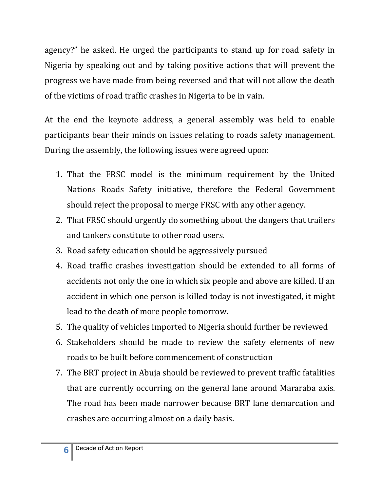agency?" he asked. He urged the participants to stand up for road safety in Nigeria by speaking out and by taking positive actions that will prevent the progress we have made from being reversed and that will not allow the death of the victims of road traffic crashes in Nigeria to be in vain.

At the end the keynote address, a general assembly was held to enable participants bear their minds on issues relating to roads safety management. During the assembly, the following issues were agreed upon:

- 1. That the FRSC model is the minimum requirement by the United Nations Roads Safety initiative, therefore the Federal Government should reject the proposal to merge FRSC with any other agency.
- 2. That FRSC should urgently do something about the dangers that trailers and tankers constitute to other road users.
- 3. Road safety education should be aggressively pursued
- 4. Road traffic crashes investigation should be extended to all forms of accidents not only the one in which six people and above are killed. If an accident in which one person is killed today is not investigated, it might lead to the death of more people tomorrow.
- 5. The quality of vehicles imported to Nigeria should further be reviewed
- 6. Stakeholders should be made to review the safety elements of new roads to be built before commencement of construction
- 7. The BRT project in Abuja should be reviewed to prevent traffic fatalities that are currently occurring on the general lane around Mararaba axis. The road has been made narrower because BRT lane demarcation and crashes are occurring almost on a daily basis.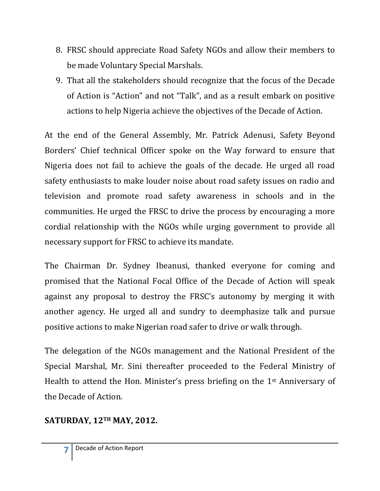- 8. FRSC should appreciate Road Safety NGOs and allow their members to be made Voluntary Special Marshals.
- 9. That all the stakeholders should recognize that the focus of the Decade of Action is "Action" and not "Talk", and as a result embark on positive actions to help Nigeria achieve the objectives of the Decade of Action.

At the end of the General Assembly, Mr. Patrick Adenusi, Safety Beyond Borders' Chief technical Officer spoke on the Way forward to ensure that Nigeria does not fail to achieve the goals of the decade. He urged all road safety enthusiasts to make louder noise about road safety issues on radio and television and promote road safety awareness in schools and in the communities. He urged the FRSC to drive the process by encouraging a more cordial relationship with the NGOs while urging government to provide all necessary support for FRSC to achieve its mandate.

The Chairman Dr. Sydney Ibeanusi, thanked everyone for coming and promised that the National Focal Office of the Decade of Action will speak against any proposal to destroy the FRSC's autonomy by merging it with another agency. He urged all and sundry to deemphasize talk and pursue positive actions to make Nigerian road safer to drive or walk through.

The delegation of the NGOs management and the National President of the Special Marshal, Mr. Sini thereafter proceeded to the Federal Ministry of Health to attend the Hon. Minister's press briefing on the 1<sup>st</sup> Anniversary of the Decade of Action.

## **SATURDAY, 12TH MAY, 2012.**